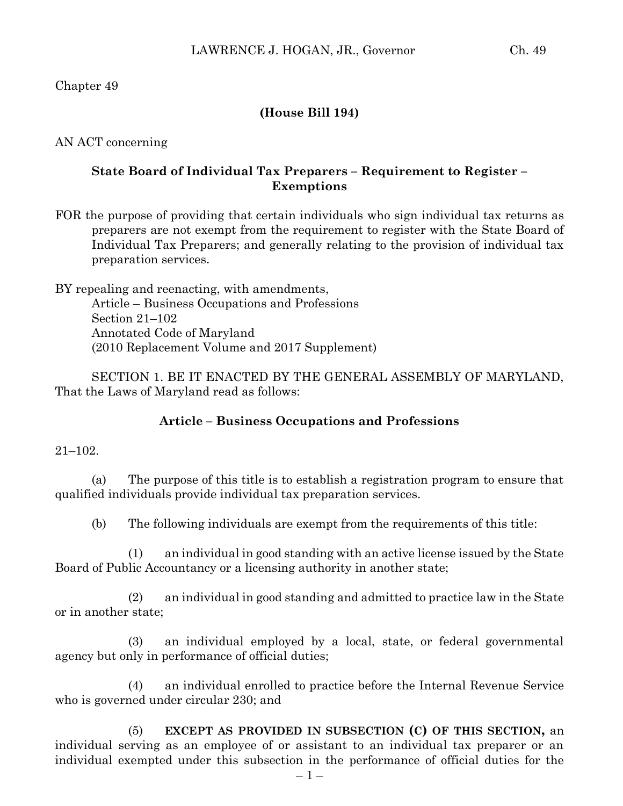Chapter 49

## **(House Bill 194)**

AN ACT concerning

## **State Board of Individual Tax Preparers – Requirement to Register – Exemptions**

FOR the purpose of providing that certain individuals who sign individual tax returns as preparers are not exempt from the requirement to register with the State Board of Individual Tax Preparers; and generally relating to the provision of individual tax preparation services.

BY repealing and reenacting, with amendments, Article – Business Occupations and Professions Section 21–102 Annotated Code of Maryland (2010 Replacement Volume and 2017 Supplement)

SECTION 1. BE IT ENACTED BY THE GENERAL ASSEMBLY OF MARYLAND, That the Laws of Maryland read as follows:

### **Article – Business Occupations and Professions**

#### 21–102.

(a) The purpose of this title is to establish a registration program to ensure that qualified individuals provide individual tax preparation services.

(b) The following individuals are exempt from the requirements of this title:

(1) an individual in good standing with an active license issued by the State Board of Public Accountancy or a licensing authority in another state;

(2) an individual in good standing and admitted to practice law in the State or in another state;

(3) an individual employed by a local, state, or federal governmental agency but only in performance of official duties;

(4) an individual enrolled to practice before the Internal Revenue Service who is governed under circular 230; and

(5) **EXCEPT AS PROVIDED IN SUBSECTION (C) OF THIS SECTION,** an individual serving as an employee of or assistant to an individual tax preparer or an individual exempted under this subsection in the performance of official duties for the